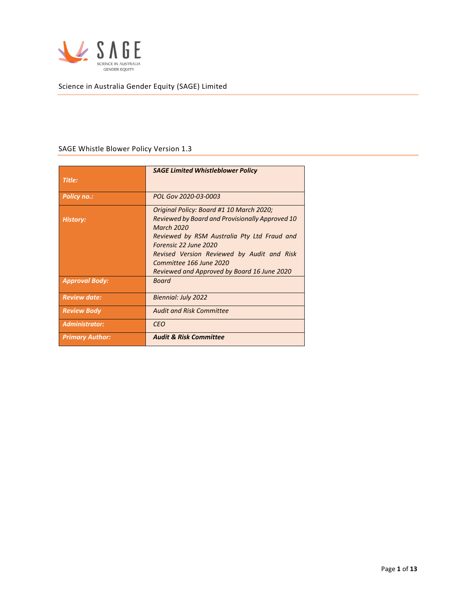

# Science in Australia Gender Equity (SAGE) Limited

# SAGE Whistle Blower Policy Version 1.3

|                        | <b>SAGE Limited Whistleblower Policy</b>        |  |
|------------------------|-------------------------------------------------|--|
| Title:                 |                                                 |  |
|                        |                                                 |  |
| <b>Policy no.:</b>     | POL Gov 2020-03-0003                            |  |
|                        |                                                 |  |
|                        | Original Policy: Board #1 10 March 2020;        |  |
| <b>History:</b>        | Reviewed by Board and Provisionally Approved 10 |  |
|                        | <b>March 2020</b>                               |  |
|                        | Reviewed by RSM Australia Pty Ltd Fraud and     |  |
|                        | Forensic 22 June 2020                           |  |
|                        |                                                 |  |
|                        | Revised Version Reviewed by Audit and Risk      |  |
|                        | Committee 166 June 2020                         |  |
|                        | Reviewed and Approved by Board 16 June 2020     |  |
| <b>Approval Body:</b>  | Board                                           |  |
|                        |                                                 |  |
| <b>Review date:</b>    | Biennial: July 2022                             |  |
|                        |                                                 |  |
| <b>Review Body</b>     | <b>Audit and Risk Committee</b>                 |  |
|                        |                                                 |  |
| <b>Administrator:</b>  | CEO                                             |  |
| <b>Primary Author:</b> | <b>Audit &amp; Risk Committee</b>               |  |
|                        |                                                 |  |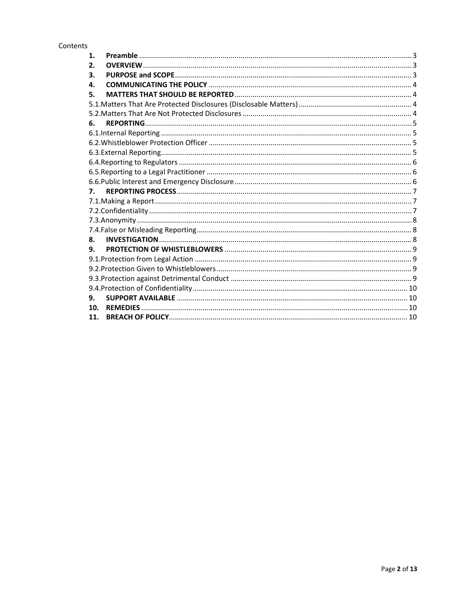## Contents

| 1.  |  |
|-----|--|
| 2.  |  |
| 3.  |  |
| 4.  |  |
| 5.  |  |
|     |  |
|     |  |
| 6.  |  |
|     |  |
|     |  |
|     |  |
|     |  |
|     |  |
|     |  |
|     |  |
| 7.  |  |
|     |  |
|     |  |
|     |  |
|     |  |
| 8.  |  |
| 9.  |  |
|     |  |
|     |  |
|     |  |
|     |  |
| 9.  |  |
| 10. |  |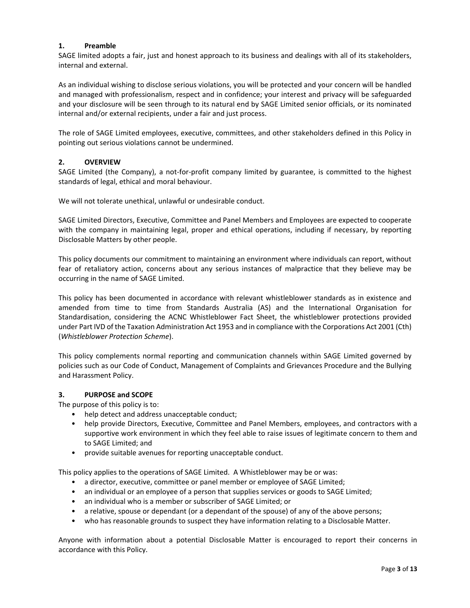# **1. Preamble**

SAGE limited adopts a fair, just and honest approach to its business and dealings with all of its stakeholders, internal and external.

As an individual wishing to disclose serious violations, you will be protected and your concern will be handled and managed with professionalism, respect and in confidence; your interest and privacy will be safeguarded and your disclosure will be seen through to its natural end by SAGE Limited senior officials, or its nominated internal and/or external recipients, under a fair and just process.

The role of SAGE Limited employees, executive, committees, and other stakeholders defined in this Policy in pointing out serious violations cannot be undermined.

# **2. OVERVIEW**

SAGE Limited (the Company), a not-for-profit company limited by guarantee, is committed to the highest standards of legal, ethical and moral behaviour.

We will not tolerate unethical, unlawful or undesirable conduct.

SAGE Limited Directors, Executive, Committee and Panel Members and Employees are expected to cooperate with the company in maintaining legal, proper and ethical operations, including if necessary, by reporting Disclosable Matters by other people.

This policy documents our commitment to maintaining an environment where individuals can report, without fear of retaliatory action, concerns about any serious instances of malpractice that they believe may be occurring in the name of SAGE Limited.

This policy has been documented in accordance with relevant whistleblower standards as in existence and amended from time to time from Standards Australia (AS) and the International Organisation for Standardisation, considering the ACNC Whistleblower Fact Sheet, the whistleblower protections provided under Part IVD of the Taxation Administration Act 1953 and in compliance with the Corporations Act 2001 (Cth) (*Whistleblower Protection Scheme*).

This policy complements normal reporting and communication channels within SAGE Limited governed by policies such as our Code of Conduct, Management of Complaints and Grievances Procedure and the Bullying and Harassment Policy.

# **3. PURPOSE and SCOPE**

The purpose of this policy is to:

- help detect and address unacceptable conduct;
- help provide Directors, Executive, Committee and Panel Members, employees, and contractors with a supportive work environment in which they feel able to raise issues of legitimate concern to them and to SAGE Limited; and
- provide suitable avenues for reporting unacceptable conduct.

This policy applies to the operations of SAGE Limited. A Whistleblower may be or was:

- a director, executive, committee or panel member or employee of SAGE Limited;
- an individual or an employee of a person that supplies services or goods to SAGE Limited;
- an individual who is a member or subscriber of SAGE Limited; or
- a relative, spouse or dependant (or a dependant of the spouse) of any of the above persons;
- who has reasonable grounds to suspect they have information relating to a Disclosable Matter.

Anyone with information about a potential Disclosable Matter is encouraged to report their concerns in accordance with this Policy.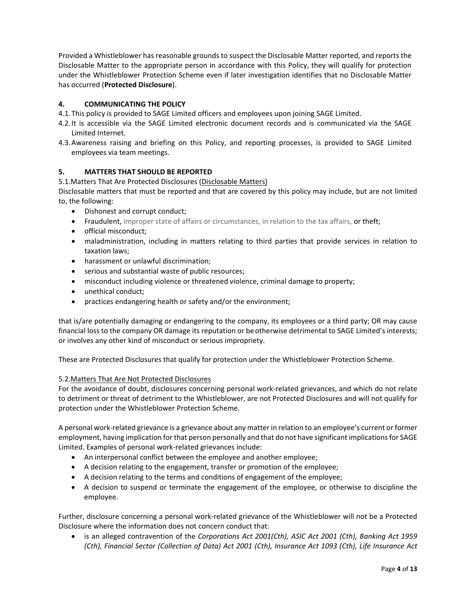Provided a Whistleblower has reasonable grounds to suspect the Disclosable Matter reported, and reports the Disclosable Matter to the appropriate person in accordance with this Policy, they will qualify for protection under the Whistleblower Protection Scheme even if later investigation identifies that no Disclosable Matter has occurred (**Protected Disclosure**).

# **4. COMMUNICATING THE POLICY**

4.1.This policy is provided to SAGE Limited officers and employees upon joining SAGE Limited.

- 4.2.It is accessible via the SAGE Limited electronic document records and is communicated via the SAGE Limited Internet.
- 4.3.Awareness raising and briefing on this Policy, and reporting processes, is provided to SAGE Limited employees via team meetings.

## **5. MATTERS THAT SHOULD BE REPORTED**

5.1.Matters That Are Protected Disclosures (Disclosable Matters)

Disclosable matters that must be reported and that are covered by this policy may include, but are not limited to, the following:

- Dishonest and corrupt conduct;
- Fraudulent, improper state of affairs or circumstances, in relation to the tax affairs, or theft;
- official misconduct:
- maladministration, including in matters relating to third parties that provide services in relation to taxation laws;
- harassment or unlawful discrimination;
- serious and substantial waste of public resources;
- misconduct including violence or threatened violence, criminal damage to property;
- unethical conduct;
- practices endangering health or safety and/or the environment;

that is/are potentially damaging or endangering to the company, its employees or a third party; OR may cause financial loss to the company OR damage its reputation or be otherwise detrimental to SAGE Limited's interests; or involves any other kind of misconduct or serious impropriety.

These are Protected Disclosures that qualify for protection under the Whistleblower Protection Scheme.

## 5.2.Matters That Are Not Protected Disclosures

For the avoidance of doubt, disclosures concerning personal work‐related grievances, and which do not relate to detriment or threat of detriment to the Whistleblower, are not Protected Disclosures and will not qualify for protection under the Whistleblower Protection Scheme.

A personal work‐related grievance is a grievance about any matter in relation to an employee's current or former employment, having implication for that person personally and that do not have significant implications for SAGE Limited. Examples of personal work‐related grievances include:

- An interpersonal conflict between the employee and another employee;
- A decision relating to the engagement, transfer or promotion of the employee;
- A decision relating to the terms and conditions of engagement of the employee;
- A decision to suspend or terminate the engagement of the employee, or otherwise to discipline the employee.

Further, disclosure concerning a personal work‐related grievance of the Whistleblower will not be a Protected Disclosure where the information does not concern conduct that:

 is an alleged contravention of the *Corporations Act 2001(Cth), ASIC Act 2001 (Cth), Banking Act 1959 (Cth), Financial Sector (Collection of Data) Act 2001 (Cth), Insurance Act 1093 (Cth), Life Insurance Act*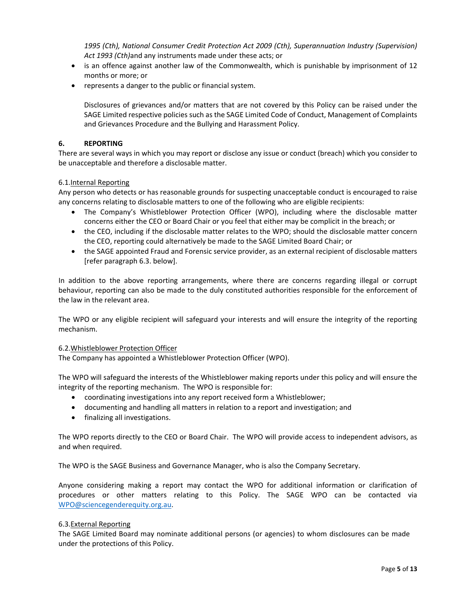*1995 (Cth), National Consumer Credit Protection Act 2009 (Cth), Superannuation Industry (Supervision) Act 1993 (Cth)*and any instruments made under these acts; or

- is an offence against another law of the Commonwealth, which is punishable by imprisonment of 12 months or more; or
- represents a danger to the public or financial system.

Disclosures of grievances and/or matters that are not covered by this Policy can be raised under the SAGE Limited respective policies such as the SAGE Limited Code of Conduct, Management of Complaints and Grievances Procedure and the Bullying and Harassment Policy.

## **6. REPORTING**

There are several ways in which you may report or disclose any issue or conduct (breach) which you consider to be unacceptable and therefore a disclosable matter.

## 6.1.Internal Reporting

Any person who detects or has reasonable grounds for suspecting unacceptable conduct is encouraged to raise any concerns relating to disclosable matters to one of the following who are eligible recipients:

- The Company's Whistleblower Protection Officer (WPO), including where the disclosable matter concerns either the CEO or Board Chair or you feel that either may be complicit in the breach; or
- the CEO, including if the disclosable matter relates to the WPO; should the disclosable matter concern the CEO, reporting could alternatively be made to the SAGE Limited Board Chair; or
- the SAGE appointed Fraud and Forensic service provider, as an external recipient of disclosable matters [refer paragraph 6.3. below].

In addition to the above reporting arrangements, where there are concerns regarding illegal or corrupt behaviour, reporting can also be made to the duly constituted authorities responsible for the enforcement of the law in the relevant area.

The WPO or any eligible recipient will safeguard your interests and will ensure the integrity of the reporting mechanism.

## 6.2.Whistleblower Protection Officer

The Company has appointed a Whistleblower Protection Officer (WPO).

The WPO will safeguard the interests of the Whistleblower making reports under this policy and will ensure the integrity of the reporting mechanism. The WPO is responsible for:

- coordinating investigations into any report received form a Whistleblower;
- documenting and handling all matters in relation to a report and investigation; and
- finalizing all investigations.

The WPO reports directly to the CEO or Board Chair. The WPO will provide access to independent advisors, as and when required.

The WPO is the SAGE Business and Governance Manager, who is also the Company Secretary.

Anyone considering making a report may contact the WPO for additional information or clarification of procedures or other matters relating to this Policy. The SAGE WPO can be contacted via WPO@sciencegenderequity.org.au.

#### 6.3.External Reporting

The SAGE Limited Board may nominate additional persons (or agencies) to whom disclosures can be made under the protections of this Policy.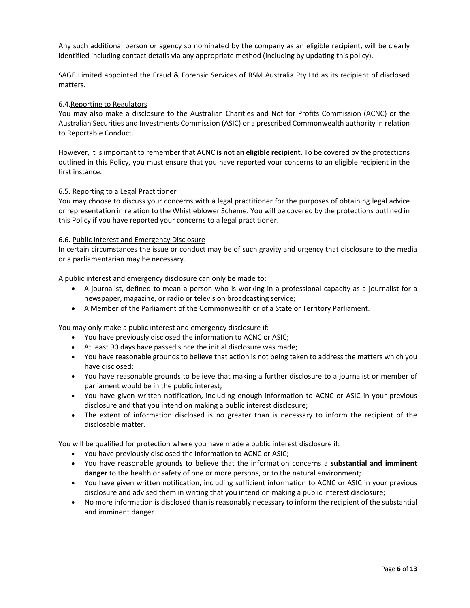Any such additional person or agency so nominated by the company as an eligible recipient, will be clearly identified including contact details via any appropriate method (including by updating this policy).

SAGE Limited appointed the Fraud & Forensic Services of RSM Australia Pty Ltd as its recipient of disclosed matters.

## 6.4.Reporting to Regulators

You may also make a disclosure to the Australian Charities and Not for Profits Commission (ACNC) or the Australian Securities and Investments Commission (ASIC) or a prescribed Commonwealth authority in relation to Reportable Conduct.

However, it is important to remember that ACNC **is not an eligible recipient**. To be covered by the protections outlined in this Policy, you must ensure that you have reported your concerns to an eligible recipient in the first instance.

#### 6.5. Reporting to a Legal Practitioner

You may choose to discuss your concerns with a legal practitioner for the purposes of obtaining legal advice or representation in relation to the Whistleblower Scheme. You will be covered by the protections outlined in this Policy if you have reported your concerns to a legal practitioner.

## 6.6. Public Interest and Emergency Disclosure

In certain circumstances the issue or conduct may be of such gravity and urgency that disclosure to the media or a parliamentarian may be necessary.

A public interest and emergency disclosure can only be made to:

- A journalist, defined to mean a person who is working in a professional capacity as a journalist for a newspaper, magazine, or radio or television broadcasting service;
- A Member of the Parliament of the Commonwealth or of a State or Territory Parliament.

You may only make a public interest and emergency disclosure if:

- You have previously disclosed the information to ACNC or ASIC;
- At least 90 days have passed since the initial disclosure was made;
- You have reasonable grounds to believe that action is not being taken to address the matters which you have disclosed;
- You have reasonable grounds to believe that making a further disclosure to a journalist or member of parliament would be in the public interest;
- You have given written notification, including enough information to ACNC or ASIC in your previous disclosure and that you intend on making a public interest disclosure;
- The extent of information disclosed is no greater than is necessary to inform the recipient of the disclosable matter.

You will be qualified for protection where you have made a public interest disclosure if:

- You have previously disclosed the information to ACNC or ASIC;
- You have reasonable grounds to believe that the information concerns a **substantial and imminent danger** to the health or safety of one or more persons, or to the natural environment;
- You have given written notification, including sufficient information to ACNC or ASIC in your previous disclosure and advised them in writing that you intend on making a public interest disclosure;
- No more information is disclosed than is reasonably necessary to inform the recipient of the substantial and imminent danger.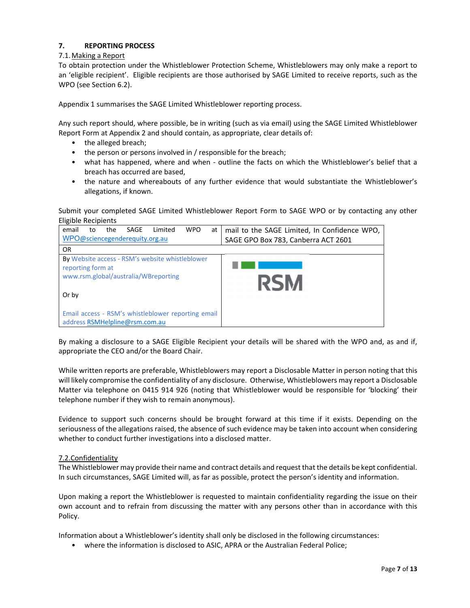# **7. REPORTING PROCESS**

## 7.1.Making a Report

To obtain protection under the Whistleblower Protection Scheme, Whistleblowers may only make a report to an 'eligible recipient'. Eligible recipients are those authorised by SAGE Limited to receive reports, such as the WPO (see Section 6.2).

Appendix 1 summarises the SAGE Limited Whistleblower reporting process.

Any such report should, where possible, be in writing (such as via email) using the SAGE Limited Whistleblower Report Form at Appendix 2 and should contain, as appropriate, clear details of:

- the alleged breach;
- the person or persons involved in / responsible for the breach;
- what has happened, where and when outline the facts on which the Whistleblower's belief that a breach has occurred are based,
- the nature and whereabouts of any further evidence that would substantiate the Whistleblower's allegations, if known.

Submit your completed SAGE Limited Whistleblower Report Form to SAGE WPO or by contacting any other Eligible Recipients



By making a disclosure to a SAGE Eligible Recipient your details will be shared with the WPO and, as and if, appropriate the CEO and/or the Board Chair.

While written reports are preferable, Whistleblowers may report a Disclosable Matter in person noting that this will likely compromise the confidentiality of any disclosure. Otherwise, Whistleblowers may report a Disclosable Matter via telephone on 0415 914 926 (noting that Whistleblower would be responsible for 'blocking' their telephone number if they wish to remain anonymous).

Evidence to support such concerns should be brought forward at this time if it exists. Depending on the seriousness of the allegations raised, the absence of such evidence may be taken into account when considering whether to conduct further investigations into a disclosed matter.

## 7.2.Confidentiality

The Whistleblower may provide their name and contract details and request that the details be kept confidential. In such circumstances, SAGE Limited will, as far as possible, protect the person's identity and information.

Upon making a report the Whistleblower is requested to maintain confidentiality regarding the issue on their own account and to refrain from discussing the matter with any persons other than in accordance with this Policy.

Information about a Whistleblower's identity shall only be disclosed in the following circumstances:

• where the information is disclosed to ASIC, APRA or the Australian Federal Police;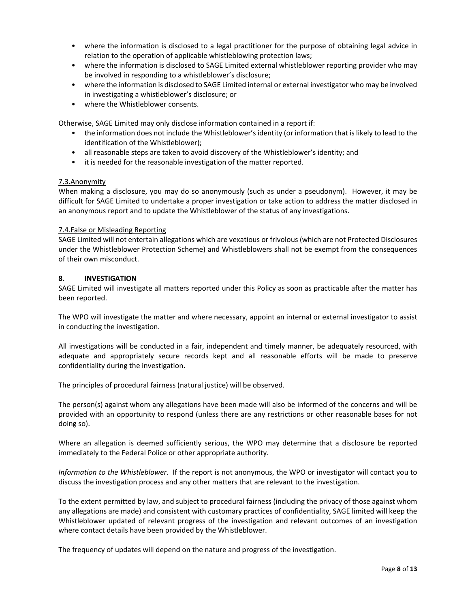- where the information is disclosed to a legal practitioner for the purpose of obtaining legal advice in relation to the operation of applicable whistleblowing protection laws;
- where the information is disclosed to SAGE Limited external whistleblower reporting provider who may be involved in responding to a whistleblower's disclosure;
- where the information is disclosed to SAGE Limited internal or external investigator who may be involved in investigating a whistleblower's disclosure; or
- where the Whistleblower consents.

Otherwise, SAGE Limited may only disclose information contained in a report if:

- the information does not include the Whistleblower's identity (or information that is likely to lead to the identification of the Whistleblower);
- all reasonable steps are taken to avoid discovery of the Whistleblower's identity; and
- it is needed for the reasonable investigation of the matter reported.

## 7.3.Anonymity

When making a disclosure, you may do so anonymously (such as under a pseudonym). However, it may be difficult for SAGE Limited to undertake a proper investigation or take action to address the matter disclosed in an anonymous report and to update the Whistleblower of the status of any investigations.

#### 7.4.False or Misleading Reporting

SAGE Limited will not entertain allegations which are vexatious or frivolous (which are not Protected Disclosures under the Whistleblower Protection Scheme) and Whistleblowers shall not be exempt from the consequences of their own misconduct.

#### **8. INVESTIGATION**

SAGE Limited will investigate all matters reported under this Policy as soon as practicable after the matter has been reported.

The WPO will investigate the matter and where necessary, appoint an internal or external investigator to assist in conducting the investigation.

All investigations will be conducted in a fair, independent and timely manner, be adequately resourced, with adequate and appropriately secure records kept and all reasonable efforts will be made to preserve confidentiality during the investigation.

The principles of procedural fairness (natural justice) will be observed.

The person(s) against whom any allegations have been made will also be informed of the concerns and will be provided with an opportunity to respond (unless there are any restrictions or other reasonable bases for not doing so).

Where an allegation is deemed sufficiently serious, the WPO may determine that a disclosure be reported immediately to the Federal Police or other appropriate authority.

*Information to the Whistleblower*. If the report is not anonymous, the WPO or investigator will contact you to discuss the investigation process and any other matters that are relevant to the investigation.

To the extent permitted by law, and subject to procedural fairness (including the privacy of those against whom any allegations are made) and consistent with customary practices of confidentiality, SAGE limited will keep the Whistleblower updated of relevant progress of the investigation and relevant outcomes of an investigation where contact details have been provided by the Whistleblower.

The frequency of updates will depend on the nature and progress of the investigation.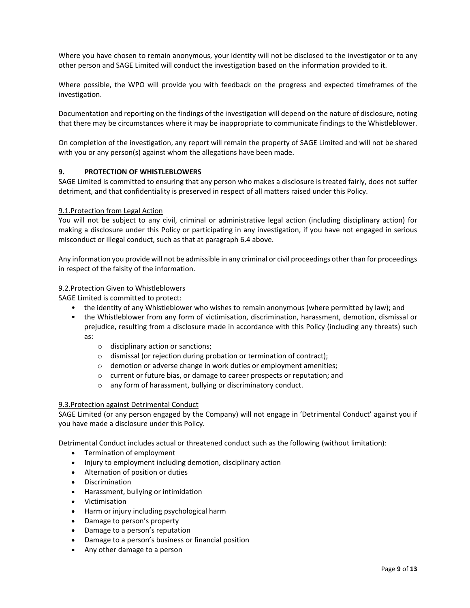Where you have chosen to remain anonymous, your identity will not be disclosed to the investigator or to any other person and SAGE Limited will conduct the investigation based on the information provided to it.

Where possible, the WPO will provide you with feedback on the progress and expected timeframes of the investigation.

Documentation and reporting on the findings of the investigation will depend on the nature of disclosure, noting that there may be circumstances where it may be inappropriate to communicate findings to the Whistleblower.

On completion of the investigation, any report will remain the property of SAGE Limited and will not be shared with you or any person(s) against whom the allegations have been made.

#### **9. PROTECTION OF WHISTLEBLOWERS**

SAGE Limited is committed to ensuring that any person who makes a disclosure is treated fairly, does not suffer detriment, and that confidentiality is preserved in respect of all matters raised under this Policy.

#### 9.1.Protection from Legal Action

You will not be subject to any civil, criminal or administrative legal action (including disciplinary action) for making a disclosure under this Policy or participating in any investigation, if you have not engaged in serious misconduct or illegal conduct, such as that at paragraph 6.4 above.

Any information you provide will not be admissible in any criminal or civil proceedings other than for proceedings in respect of the falsity of the information.

# 9.2.Protection Given to Whistleblowers

SAGE Limited is committed to protect:

- the identity of any Whistleblower who wishes to remain anonymous (where permitted by law); and
- the Whistleblower from any form of victimisation, discrimination, harassment, demotion, dismissal or prejudice, resulting from a disclosure made in accordance with this Policy (including any threats) such as:
	- o disciplinary action or sanctions;
	- o dismissal (or rejection during probation or termination of contract);
	- o demotion or adverse change in work duties or employment amenities;
	- o current or future bias, or damage to career prospects or reputation; and
	- o any form of harassment, bullying or discriminatory conduct.

#### 9.3.Protection against Detrimental Conduct

SAGE Limited (or any person engaged by the Company) will not engage in 'Detrimental Conduct' against you if you have made a disclosure under this Policy.

Detrimental Conduct includes actual or threatened conduct such as the following (without limitation):

- Termination of employment
- Injury to employment including demotion, disciplinary action
- Alternation of position or duties
- Discrimination
- Harassment, bullying or intimidation
- Victimisation
- Harm or injury including psychological harm
- Damage to person's property
- Damage to a person's reputation
- Damage to a person's business or financial position
- Any other damage to a person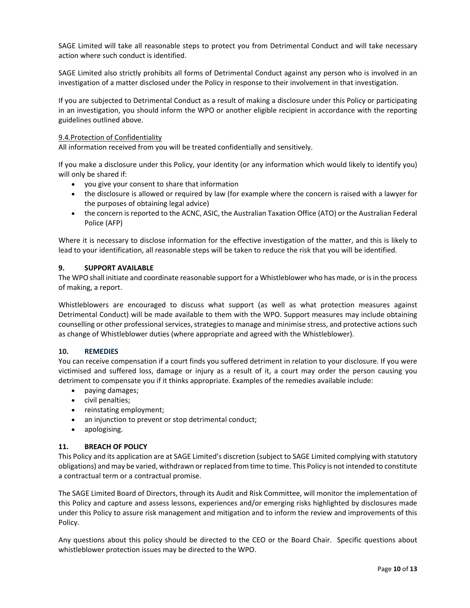SAGE Limited will take all reasonable steps to protect you from Detrimental Conduct and will take necessary action where such conduct is identified.

SAGE Limited also strictly prohibits all forms of Detrimental Conduct against any person who is involved in an investigation of a matter disclosed under the Policy in response to their involvement in that investigation.

If you are subjected to Detrimental Conduct as a result of making a disclosure under this Policy or participating in an investigation, you should inform the WPO or another eligible recipient in accordance with the reporting guidelines outlined above.

## 9.4.Protection of Confidentiality

All information received from you will be treated confidentially and sensitively.

If you make a disclosure under this Policy, your identity (or any information which would likely to identify you) will only be shared if:

- you give your consent to share that information
- the disclosure is allowed or required by law (for example where the concern is raised with a lawyer for the purposes of obtaining legal advice)
- the concern is reported to the ACNC, ASIC, the Australian Taxation Office (ATO) or the Australian Federal Police (AFP)

Where it is necessary to disclose information for the effective investigation of the matter, and this is likely to lead to your identification, all reasonable steps will be taken to reduce the risk that you will be identified.

## **9. SUPPORT AVAILABLE**

The WPO shall initiate and coordinate reasonable support for a Whistleblower who has made, or isin the process of making, a report.

Whistleblowers are encouraged to discuss what support (as well as what protection measures against Detrimental Conduct) will be made available to them with the WPO. Support measures may include obtaining counselling or other professional services, strategies to manage and minimise stress, and protective actions such as change of Whistleblower duties (where appropriate and agreed with the Whistleblower).

#### **10. REMEDIES**

You can receive compensation if a court finds you suffered detriment in relation to your disclosure. If you were victimised and suffered loss, damage or injury as a result of it, a court may order the person causing you detriment to compensate you if it thinks appropriate. Examples of the remedies available include:

- paying damages;
- civil penalties;
- reinstating employment;
- an injunction to prevent or stop detrimental conduct;
- apologising.

#### **11. BREACH OF POLICY**

This Policy and its application are at SAGE Limited's discretion (subject to SAGE Limited complying with statutory obligations) and may be varied, withdrawn orreplaced from time to time. This Policy is not intended to constitute a contractual term or a contractual promise.

The SAGE Limited Board of Directors, through its Audit and Risk Committee, will monitor the implementation of this Policy and capture and assess lessons, experiences and/or emerging risks highlighted by disclosures made under this Policy to assure risk management and mitigation and to inform the review and improvements of this Policy.

Any questions about this policy should be directed to the CEO or the Board Chair. Specific questions about whistleblower protection issues may be directed to the WPO.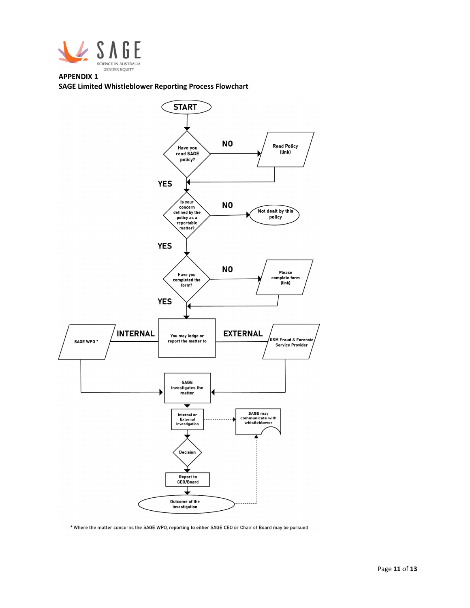

#### **APPENDIX 1 SAGE Limited Whistleblower Reporting Process Flowchart**



\* Where the matter concerns the SAGE WPO, reporting to either SAGE CEO or Chair of Board may be pursued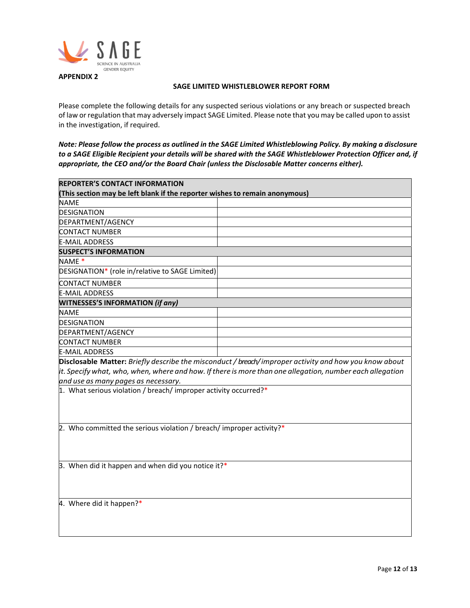

**APPENDIX 2** 

# **SAGE LIMITED WHISTLEBLOWER REPORT FORM**

Please complete the following details for any suspected serious violations or any breach or suspected breach of law or regulation that may adversely impact SAGE Limited. Please note that you may be called upon to assist in the investigation, if required.

Note: Please follow the process as outlined in the SAGE Limited Whistleblowing Policy. By making a disclosure to a SAGE Eligible Recipient your details will be shared with the SAGE Whistleblower Protection Officer and, if *appropriate, the CEO and/or the Board Chair (unless the Disclosable Matter concerns either).*

| <b>REPORTER'S CONTACT INFORMATION</b>                                       |                                                                                                            |
|-----------------------------------------------------------------------------|------------------------------------------------------------------------------------------------------------|
| (This section may be left blank if the reporter wishes to remain anonymous) |                                                                                                            |
| <b>NAME</b>                                                                 |                                                                                                            |
| DESIGNATION                                                                 |                                                                                                            |
| DEPARTMENT/AGENCY                                                           |                                                                                                            |
| <b>CONTACT NUMBER</b>                                                       |                                                                                                            |
| <b>E-MAIL ADDRESS</b>                                                       |                                                                                                            |
| <b>SUSPECT'S INFORMATION</b>                                                |                                                                                                            |
| NAME <sup>*</sup>                                                           |                                                                                                            |
| DESIGNATION* (role in/relative to SAGE Limited)                             |                                                                                                            |
| <b>CONTACT NUMBER</b>                                                       |                                                                                                            |
| <b>E-MAIL ADDRESS</b>                                                       |                                                                                                            |
| <b>WITNESSES'S INFORMATION (if any)</b>                                     |                                                                                                            |
| <b>NAME</b>                                                                 |                                                                                                            |
| <b>DESIGNATION</b>                                                          |                                                                                                            |
| DEPARTMENT/AGENCY                                                           |                                                                                                            |
| <b>CONTACT NUMBER</b>                                                       |                                                                                                            |
| <b>E-MAIL ADDRESS</b>                                                       |                                                                                                            |
|                                                                             | Disclosable Matter: Briefly describe the misconduct / breach/improper activity and how you know about      |
|                                                                             | $it.$ Specify what, who, when, where and how. If there is more than one allegation, number each allegation |
| and use as many pages as necessary.                                         |                                                                                                            |
| 1. What serious violation / breach/ improper activity occurred?*            |                                                                                                            |
|                                                                             |                                                                                                            |
|                                                                             |                                                                                                            |
| 2. Who committed the serious violation / breach/ improper activity?*        |                                                                                                            |
|                                                                             |                                                                                                            |
|                                                                             |                                                                                                            |
|                                                                             |                                                                                                            |
| 3. When did it happen and when did you notice it?*                          |                                                                                                            |
|                                                                             |                                                                                                            |
|                                                                             |                                                                                                            |
|                                                                             |                                                                                                            |
| 4. Where did it happen?*                                                    |                                                                                                            |
|                                                                             |                                                                                                            |
|                                                                             |                                                                                                            |
|                                                                             |                                                                                                            |
|                                                                             |                                                                                                            |